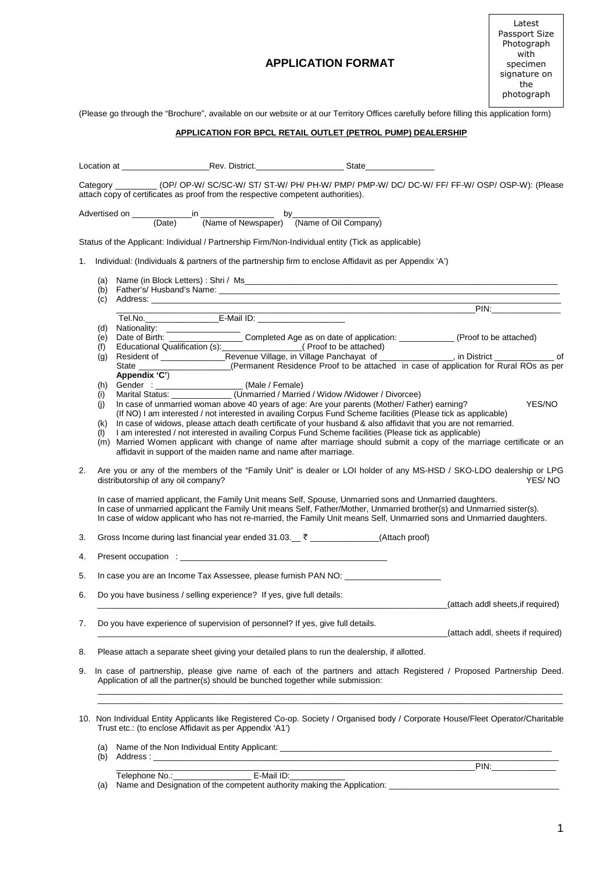## **APPLICATION FORMAT**

Latest Passport Size Photograph with specimen signature on the photograph

(Please go through the "Brochure", available on our website or at our Territory Offices carefully before filling this application form)

## **APPLICATION FOR BPCL RETAIL OUTLET (PETROL PUMP) DEALERSHIP**

|    |            |                                                                                                                                                                                                       | attach copy of certificates as proof from the respective competent authorities).                                                                                                                                                     |  |  | Category _________ (OP/ OP-W/ SC/SC-W/ ST/ ST-W/ PH/ PH-W/ PMP/ PMP-W/ DC/ DC-W/ FF/ FF-W/ OSP/ OSP-W): (Please                                                                                                                |  |
|----|------------|-------------------------------------------------------------------------------------------------------------------------------------------------------------------------------------------------------|--------------------------------------------------------------------------------------------------------------------------------------------------------------------------------------------------------------------------------------|--|--|--------------------------------------------------------------------------------------------------------------------------------------------------------------------------------------------------------------------------------|--|
|    |            |                                                                                                                                                                                                       |                                                                                                                                                                                                                                      |  |  |                                                                                                                                                                                                                                |  |
|    |            |                                                                                                                                                                                                       | Status of the Applicant: Individual / Partnership Firm/Non-Individual entity (Tick as applicable)                                                                                                                                    |  |  |                                                                                                                                                                                                                                |  |
| 1. |            |                                                                                                                                                                                                       | Individual: (Individuals & partners of the partnership firm to enclose Affidavit as per Appendix 'A')                                                                                                                                |  |  |                                                                                                                                                                                                                                |  |
|    | (a)        |                                                                                                                                                                                                       |                                                                                                                                                                                                                                      |  |  |                                                                                                                                                                                                                                |  |
|    | (b)        |                                                                                                                                                                                                       |                                                                                                                                                                                                                                      |  |  |                                                                                                                                                                                                                                |  |
|    |            |                                                                                                                                                                                                       |                                                                                                                                                                                                                                      |  |  | PIN:                                                                                                                                                                                                                           |  |
|    | (d)        | Nationality: _________________                                                                                                                                                                        |                                                                                                                                                                                                                                      |  |  |                                                                                                                                                                                                                                |  |
|    | (e)        |                                                                                                                                                                                                       | Date of Birth: Completed Age as on date of application: ___________(Proof to be attached)                                                                                                                                            |  |  |                                                                                                                                                                                                                                |  |
|    | (f)<br>(g) |                                                                                                                                                                                                       |                                                                                                                                                                                                                                      |  |  |                                                                                                                                                                                                                                |  |
|    |            |                                                                                                                                                                                                       |                                                                                                                                                                                                                                      |  |  | State __________________(Permanent Residence Proof to be attached in case of application for Rural ROs as per                                                                                                                  |  |
|    | (h)        | Appendix 'C')                                                                                                                                                                                         |                                                                                                                                                                                                                                      |  |  |                                                                                                                                                                                                                                |  |
|    | (i)        |                                                                                                                                                                                                       | Marital Status: _______________(Unmarried / Married / Widow / Widower / Divorcee)                                                                                                                                                    |  |  |                                                                                                                                                                                                                                |  |
|    | (i)        |                                                                                                                                                                                                       | In case of unmarried woman above 40 years of age: Are your parents (Mother/ Father) earning?                                                                                                                                         |  |  | YES/NO                                                                                                                                                                                                                         |  |
|    | (k)        |                                                                                                                                                                                                       | (If NO) I am interested / not interested in availing Corpus Fund Scheme facilities (Please tick as applicable)<br>In case of widows, please attach death certificate of your husband & also affidavit that you are not remarried.    |  |  |                                                                                                                                                                                                                                |  |
|    | (1)        |                                                                                                                                                                                                       | I am interested / not interested in availing Corpus Fund Scheme facilities (Please tick as applicable)                                                                                                                               |  |  |                                                                                                                                                                                                                                |  |
|    |            |                                                                                                                                                                                                       | affidavit in support of the maiden name and name after marriage.                                                                                                                                                                     |  |  | (m) Married Women applicant with change of name after marriage should submit a copy of the marriage certificate or an                                                                                                          |  |
| 2. |            | distributorship of any oil company?                                                                                                                                                                   |                                                                                                                                                                                                                                      |  |  | Are you or any of the members of the "Family Unit" is dealer or LOI holder of any MS-HSD / SKO-LDO dealership or LPG<br>YES/NO                                                                                                 |  |
|    |            |                                                                                                                                                                                                       | In case of married applicant, the Family Unit means Self, Spouse, Unmarried sons and Unmarried daughters.<br>In case of unmarried applicant the Family Unit means Self, Father/Mother, Unmarried brother(s) and Unmarried sister(s). |  |  | In case of widow applicant who has not re-married, the Family Unit means Self, Unmarried sons and Unmarried daughters.                                                                                                         |  |
| 3. |            |                                                                                                                                                                                                       | Gross Income during last financial year ended 31.03.<br><u>■ Terminance of Attach proof</u>                                                                                                                                          |  |  |                                                                                                                                                                                                                                |  |
| 4. |            |                                                                                                                                                                                                       |                                                                                                                                                                                                                                      |  |  |                                                                                                                                                                                                                                |  |
| 5. |            |                                                                                                                                                                                                       | In case you are an Income Tax Assessee, please furnish PAN NO: ________________________                                                                                                                                              |  |  |                                                                                                                                                                                                                                |  |
| 6. |            |                                                                                                                                                                                                       | Do you have business / selling experience? If yes, give full details:                                                                                                                                                                |  |  | (attach addl sheets, if required)                                                                                                                                                                                              |  |
| 7. |            |                                                                                                                                                                                                       | Do you have experience of supervision of personnel? If yes, give full details.                                                                                                                                                       |  |  | (attach addl, sheets if required)                                                                                                                                                                                              |  |
| 8. |            |                                                                                                                                                                                                       | Please attach a separate sheet giving your detailed plans to run the dealership, if allotted.                                                                                                                                        |  |  |                                                                                                                                                                                                                                |  |
| 9. |            | In case of partnership, please give name of each of the partners and attach Registered / Proposed Partnership Deed.<br>Application of all the partner(s) should be bunched together while submission: |                                                                                                                                                                                                                                      |  |  |                                                                                                                                                                                                                                |  |
|    |            | 10. Non Individual Entity Applicants like Registered Co-op. Society / Organised body / Corporate House/Fleet Operator/Charitable<br>Trust etc.: (to enclose Affidavit as per Appendix 'A1')           |                                                                                                                                                                                                                                      |  |  |                                                                                                                                                                                                                                |  |
|    | (a)        |                                                                                                                                                                                                       |                                                                                                                                                                                                                                      |  |  |                                                                                                                                                                                                                                |  |
|    | (b)        |                                                                                                                                                                                                       |                                                                                                                                                                                                                                      |  |  | PIN: The contract of the contract of the contract of the contract of the contract of the contract of the contract of the contract of the contract of the contract of the contract of the contract of the contract of the contr |  |
|    |            | Telephone No.: _______________________ E-Mail ID:                                                                                                                                                     |                                                                                                                                                                                                                                      |  |  |                                                                                                                                                                                                                                |  |
|    | (a)        |                                                                                                                                                                                                       |                                                                                                                                                                                                                                      |  |  |                                                                                                                                                                                                                                |  |